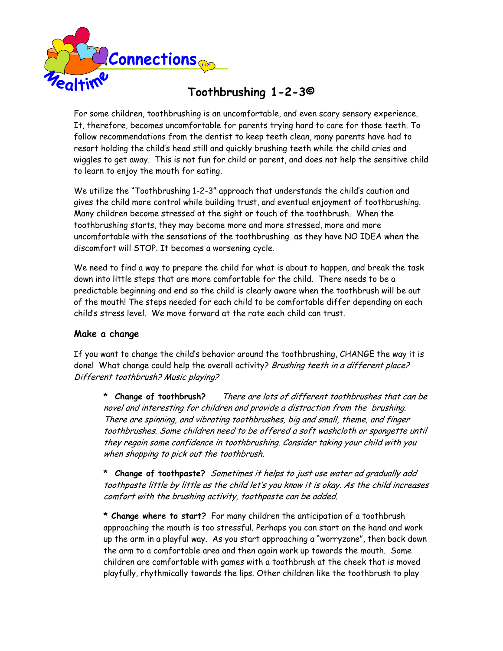

## **Toothbrushing 1-2-3©**

For some children, toothbrushing is an uncomfortable, and even scary sensory experience. It, therefore, becomes uncomfortable for parents trying hard to care for those teeth. To follow recommendations from the dentist to keep teeth clean, many parents have had to resort holding the child's head still and quickly brushing teeth while the child cries and wiggles to get away. This is not fun for child or parent, and does not help the sensitive child to learn to enjoy the mouth for eating.

We utilize the "Toothbrushing 1-2-3" approach that understands the child's caution and gives the child more control while building trust, and eventual enjoyment of toothbrushing. Many children become stressed at the sight or touch of the toothbrush. When the toothbrushing starts, they may become more and more stressed, more and more uncomfortable with the sensations of the toothbrushing as they have NO IDEA when the discomfort will STOP. It becomes a worsening cycle.

We need to find a way to prepare the child for what is about to happen, and break the task down into little steps that are more comfortable for the child. There needs to be a predictable beginning and end so the child is clearly aware when the toothbrush will be out of the mouth! The steps needed for each child to be comfortable differ depending on each child's stress level. We move forward at the rate each child can trust.

#### **Make a change**

If you want to change the child's behavior around the toothbrushing, CHANGE the way it is done! What change could help the overall activity? Brushing teeth in a different place? Different toothbrush? Music playing?

**\* Change of toothbrush?** There are lots of different toothbrushes that can be novel and interesting for children and provide a distraction from the brushing. There are spinning, and vibrating toothbrushes, big and small, theme, and finger toothbrushes. Some children need to be offered a soft washcloth or spongette until they regain some confidence in toothbrushing. Consider taking your child with you when shopping to pick out the toothbrush.

**\* Change of toothpaste?** Sometimes it helps to just use water ad gradually add toothpaste little by little as the child let's you know it is okay. As the child increases comfort with the brushing activity, toothpaste can be added.

**\* Change where to start?** For many children the anticipation of a toothbrush approaching the mouth is too stressful. Perhaps you can start on the hand and work up the arm in a playful way. As you start approaching a "worryzone", then back down the arm to a comfortable area and then again work up towards the mouth. Some children are comfortable with games with a toothbrush at the cheek that is moved playfully, rhythmically towards the lips. Other children like the toothbrush to play